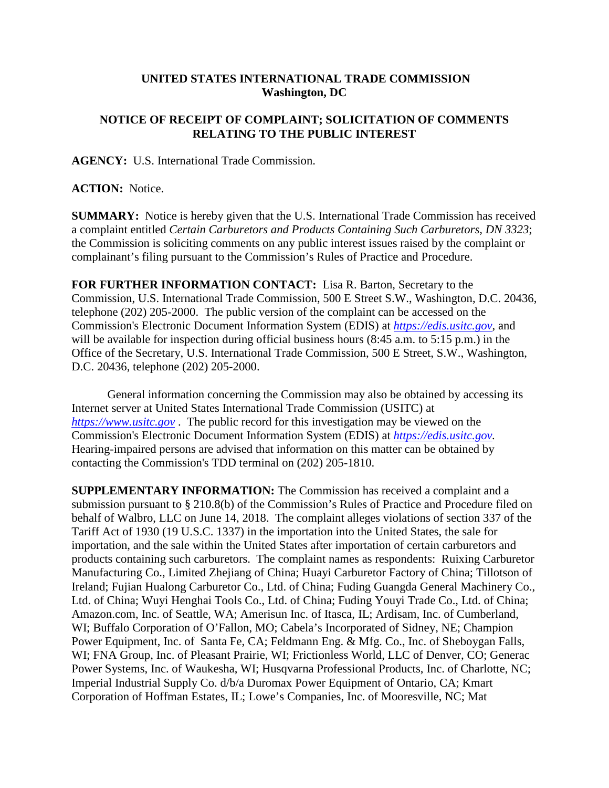## **UNITED STATES INTERNATIONAL TRADE COMMISSION Washington, DC**

## **NOTICE OF RECEIPT OF COMPLAINT; SOLICITATION OF COMMENTS RELATING TO THE PUBLIC INTEREST**

**AGENCY:** U.S. International Trade Commission.

## **ACTION:** Notice.

**SUMMARY:** Notice is hereby given that the U.S. International Trade Commission has received a complaint entitled *Certain Carburetors and Products Containing Such Carburetors, DN 3323*; the Commission is soliciting comments on any public interest issues raised by the complaint or complainant's filing pursuant to the Commission's Rules of Practice and Procedure.

**FOR FURTHER INFORMATION CONTACT:** Lisa R. Barton, Secretary to the Commission, U.S. International Trade Commission, 500 E Street S.W., Washington, D.C. 20436, telephone (202) 205-2000. The public version of the complaint can be accessed on the Commission's Electronic Document Information System (EDIS) at *[https://edis.usitc.gov](https://edis.usitc.gov/)*, and will be available for inspection during official business hours (8:45 a.m. to 5:15 p.m.) in the Office of the Secretary, U.S. International Trade Commission, 500 E Street, S.W., Washington, D.C. 20436, telephone (202) 205-2000.

General information concerning the Commission may also be obtained by accessing its Internet server at United States International Trade Commission (USITC) at *[https://www.usitc.gov](https://www.usitc.gov/)* . The public record for this investigation may be viewed on the Commission's Electronic Document Information System (EDIS) at *[https://edis.usitc.gov.](https://edis.usitc.gov/)* Hearing-impaired persons are advised that information on this matter can be obtained by contacting the Commission's TDD terminal on (202) 205-1810.

**SUPPLEMENTARY INFORMATION:** The Commission has received a complaint and a submission pursuant to § 210.8(b) of the Commission's Rules of Practice and Procedure filed on behalf of Walbro, LLC on June 14, 2018. The complaint alleges violations of section 337 of the Tariff Act of 1930 (19 U.S.C. 1337) in the importation into the United States, the sale for importation, and the sale within the United States after importation of certain carburetors and products containing such carburetors. The complaint names as respondents: Ruixing Carburetor Manufacturing Co., Limited Zhejiang of China; Huayi Carburetor Factory of China; Tillotson of Ireland; Fujian Hualong Carburetor Co., Ltd. of China; Fuding Guangda General Machinery Co., Ltd. of China; Wuyi Henghai Tools Co., Ltd. of China; Fuding Youyi Trade Co., Ltd. of China; Amazon.com, Inc. of Seattle, WA; Amerisun Inc. of Itasca, IL; Ardisam, Inc. of Cumberland, WI; Buffalo Corporation of O'Fallon, MO; Cabela's Incorporated of Sidney, NE; Champion Power Equipment, Inc. of Santa Fe, CA; Feldmann Eng. & Mfg. Co., Inc. of Sheboygan Falls, WI; FNA Group, Inc. of Pleasant Prairie, WI; Frictionless World, LLC of Denver, CO; Generac Power Systems, Inc. of Waukesha, WI; Husqvarna Professional Products, Inc. of Charlotte, NC; Imperial Industrial Supply Co. d/b/a Duromax Power Equipment of Ontario, CA; Kmart Corporation of Hoffman Estates, IL; Lowe's Companies, Inc. of Mooresville, NC; Mat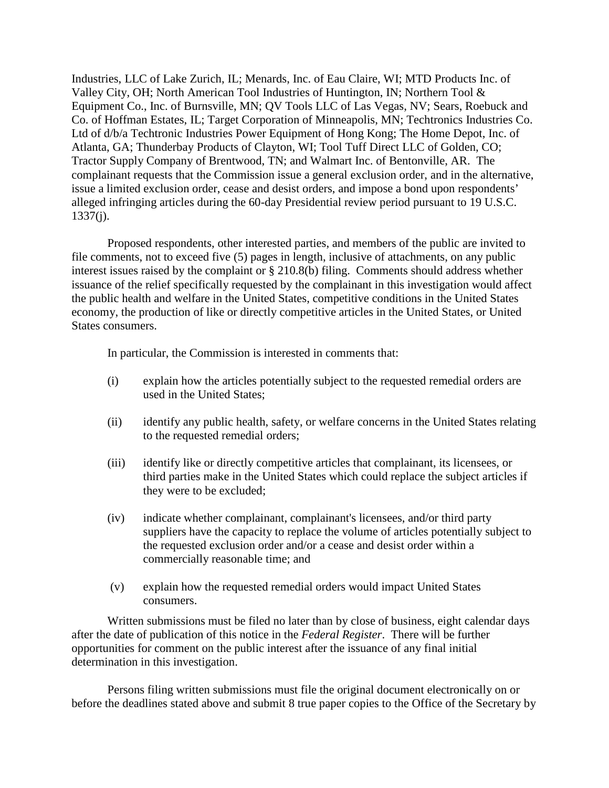Industries, LLC of Lake Zurich, IL; Menards, Inc. of Eau Claire, WI; MTD Products Inc. of Valley City, OH; North American Tool Industries of Huntington, IN; Northern Tool & Equipment Co., Inc. of Burnsville, MN; QV Tools LLC of Las Vegas, NV; Sears, Roebuck and Co. of Hoffman Estates, IL; Target Corporation of Minneapolis, MN; Techtronics Industries Co. Ltd of d/b/a Techtronic Industries Power Equipment of Hong Kong; The Home Depot, Inc. of Atlanta, GA; Thunderbay Products of Clayton, WI; Tool Tuff Direct LLC of Golden, CO; Tractor Supply Company of Brentwood, TN; and Walmart Inc. of Bentonville, AR. The complainant requests that the Commission issue a general exclusion order, and in the alternative, issue a limited exclusion order, cease and desist orders, and impose a bond upon respondents' alleged infringing articles during the 60-day Presidential review period pursuant to 19 U.S.C.  $1337(j)$ .

Proposed respondents, other interested parties, and members of the public are invited to file comments, not to exceed five (5) pages in length, inclusive of attachments, on any public interest issues raised by the complaint or § 210.8(b) filing. Comments should address whether issuance of the relief specifically requested by the complainant in this investigation would affect the public health and welfare in the United States, competitive conditions in the United States economy, the production of like or directly competitive articles in the United States, or United States consumers.

In particular, the Commission is interested in comments that:

- (i) explain how the articles potentially subject to the requested remedial orders are used in the United States;
- (ii) identify any public health, safety, or welfare concerns in the United States relating to the requested remedial orders;
- (iii) identify like or directly competitive articles that complainant, its licensees, or third parties make in the United States which could replace the subject articles if they were to be excluded;
- (iv) indicate whether complainant, complainant's licensees, and/or third party suppliers have the capacity to replace the volume of articles potentially subject to the requested exclusion order and/or a cease and desist order within a commercially reasonable time; and
- (v) explain how the requested remedial orders would impact United States consumers.

Written submissions must be filed no later than by close of business, eight calendar days after the date of publication of this notice in the *Federal Register*. There will be further opportunities for comment on the public interest after the issuance of any final initial determination in this investigation.

Persons filing written submissions must file the original document electronically on or before the deadlines stated above and submit 8 true paper copies to the Office of the Secretary by